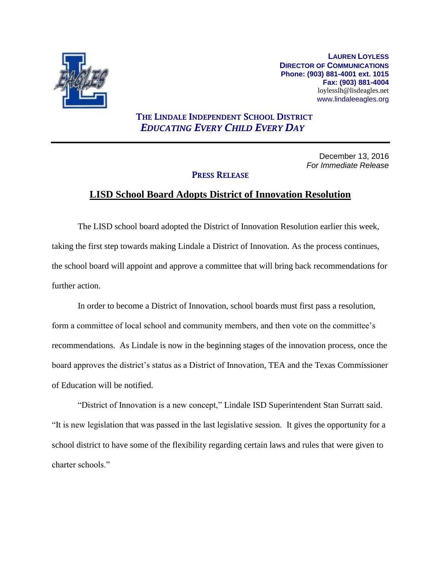

**LAUREN LOYLESS DIRECTOR OF COMMUNICATIONS Phone: (903) 881-4001 ext. 1015 Fax: (903) 881-4004** loylesslh@lisdeagles.net www.lindaleeagles.org

## **THE LINDALE INDEPENDENT SCHOOL DISTRICT** *EDUCATING EVERY CHILD EVERY DAY*

December 13, 2016 *For Immediate Release*

## **PRESS RELEASE**

## **LISD School Board Adopts District of Innovation Resolution**

The LISD school board adopted the District of Innovation Resolution earlier this week, taking the first step towards making Lindale a District of Innovation. As the process continues, the school board will appoint and approve a committee that will bring back recommendations for further action.

In order to become a District of Innovation, school boards must first pass a resolution, form a committee of local school and community members, and then vote on the committee's recommendations. As Lindale is now in the beginning stages of the innovation process, once the board approves the district's status as a District of Innovation, TEA and the Texas Commissioner of Education will be notified.

"District of Innovation is a new concept," Lindale ISD Superintendent Stan Surratt said. "It is new legislation that was passed in the last legislative session. It gives the opportunity for a school district to have some of the flexibility regarding certain laws and rules that were given to charter schools."